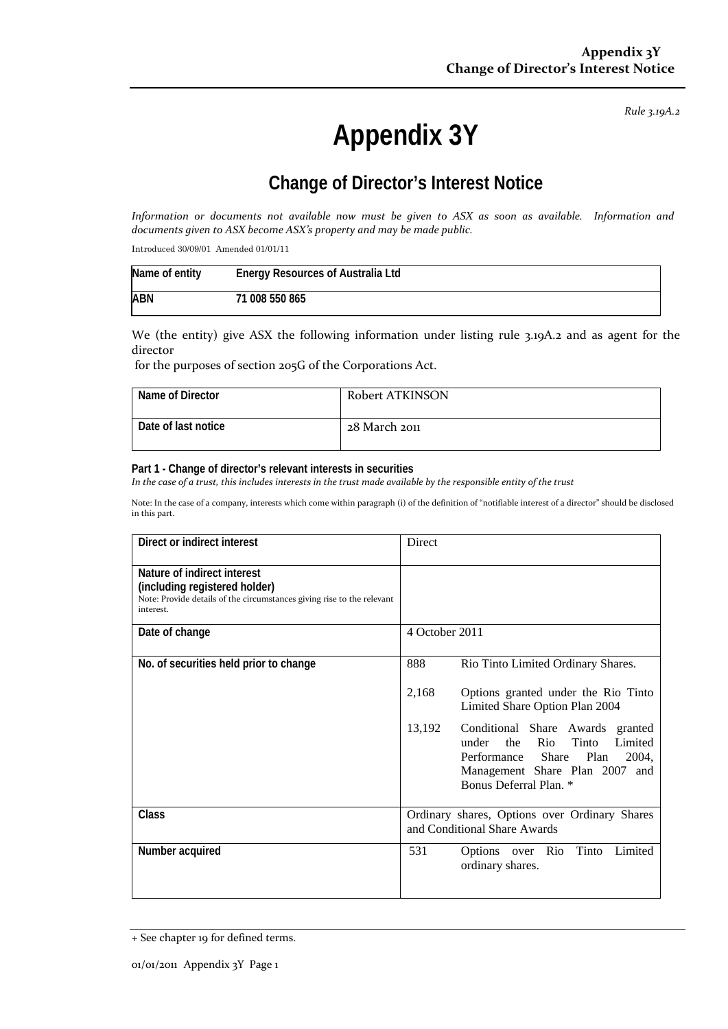*Rule 3.19A.2*

# **Appendix 3Y**

# **Change of Director's Interest Notice**

Information or documents not available now must be given to ASX as soon as available. Information and *documents given to ASX become ASX's property and may be made public.*

Introduced 30/09/01 Amended 01/01/11

| Name of entity | Energy Resources of Australia Ltd |
|----------------|-----------------------------------|
| <b>ABN</b>     | 71 008 550 865                    |

We (the entity) give ASX the following information under listing rule 3.19A.2 and as agent for the director

for the purposes of section 205G of the Corporations Act.

| Name of Director    | Robert ATKINSON |
|---------------------|-----------------|
| Date of last notice | 28 March 2011   |

#### **Part 1 - Change of director's relevant interests in securities**

In the case of a trust, this includes interests in the trust made available by the responsible entity of the trust

Note: In the case of a company, interests which come within paragraph (i) of the definition of "notifiable interest of a director" should be disclosed in this part.

| Direct or indirect interest                                                                                                                         | Direct                                                                                                                                                                                        |  |
|-----------------------------------------------------------------------------------------------------------------------------------------------------|-----------------------------------------------------------------------------------------------------------------------------------------------------------------------------------------------|--|
| Nature of indirect interest<br>(including registered holder)<br>Note: Provide details of the circumstances giving rise to the relevant<br>interest. |                                                                                                                                                                                               |  |
| Date of change                                                                                                                                      | 4 October 2011                                                                                                                                                                                |  |
| No. of securities held prior to change                                                                                                              | 888<br>Rio Tinto Limited Ordinary Shares.                                                                                                                                                     |  |
|                                                                                                                                                     | 2,168<br>Options granted under the Rio Tinto<br>Limited Share Option Plan 2004                                                                                                                |  |
|                                                                                                                                                     | 13,192<br>Conditional Share Awards<br>granted<br>Tinto<br>under<br>the<br>Rio<br>Limited<br>Performance<br>Share<br>Plan<br>2004,<br>Management Share Plan 2007 and<br>Bonus Deferral Plan. * |  |
| <b>Class</b>                                                                                                                                        | Ordinary shares, Options over Ordinary Shares<br>and Conditional Share Awards                                                                                                                 |  |
| Number acquired                                                                                                                                     | Limited<br>531<br>Tinto<br>Options over<br>Rio<br>ordinary shares.                                                                                                                            |  |

<sup>+</sup> See chapter 19 for defined terms.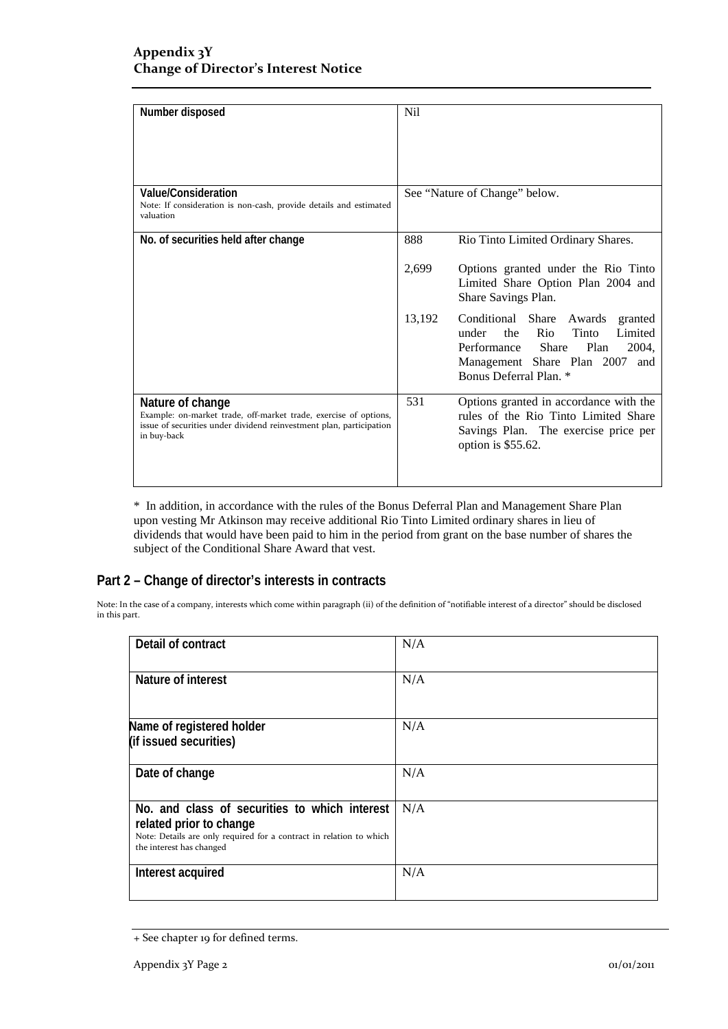| Number disposed                                                                                                                                                            | <b>Nil</b> |                                                                                                                                                                                         |
|----------------------------------------------------------------------------------------------------------------------------------------------------------------------------|------------|-----------------------------------------------------------------------------------------------------------------------------------------------------------------------------------------|
|                                                                                                                                                                            |            |                                                                                                                                                                                         |
|                                                                                                                                                                            |            |                                                                                                                                                                                         |
|                                                                                                                                                                            |            |                                                                                                                                                                                         |
| Value/Consideration<br>Note: If consideration is non-cash, provide details and estimated<br>valuation                                                                      |            | See "Nature of Change" below.                                                                                                                                                           |
| No. of securities held after change                                                                                                                                        | 888        | Rio Tinto Limited Ordinary Shares.                                                                                                                                                      |
|                                                                                                                                                                            | 2,699      | Options granted under the Rio Tinto<br>Limited Share Option Plan 2004 and<br>Share Savings Plan.                                                                                        |
|                                                                                                                                                                            | 13,192     | Conditional Share Awards granted<br>Rio<br>Tinto<br>Limited<br>under<br>the<br>Performance Share<br>Plan<br>2004,<br>Management Share Plan 2007<br>and<br><b>Bonus Deferral Plan.</b> * |
| Nature of change<br>Example: on-market trade, off-market trade, exercise of options,<br>issue of securities under dividend reinvestment plan, participation<br>in buy-back | 531        | Options granted in accordance with the<br>rules of the Rio Tinto Limited Share<br>Savings Plan. The exercise price per<br>option is \$55.62.                                            |

\* In addition, in accordance with the rules of the Bonus Deferral Plan and Management Share Plan upon vesting Mr Atkinson may receive additional Rio Tinto Limited ordinary shares in lieu of dividends that would have been paid to him in the period from grant on the base number of shares the subject of the Conditional Share Award that vest.

### **Part 2 – Change of director's interests in contracts**

Note: In the case of a company, interests which come within paragraph (ii) of the definition of "notifiable interest of a director" should be disclosed in this part.

| Detail of contract                                                                                                                                                          | N/A |
|-----------------------------------------------------------------------------------------------------------------------------------------------------------------------------|-----|
| Nature of interest                                                                                                                                                          | N/A |
| Name of registered holder<br>(if issued securities)                                                                                                                         | N/A |
| Date of change                                                                                                                                                              | N/A |
| No. and class of securities to which interest<br>related prior to change<br>Note: Details are only required for a contract in relation to which<br>the interest has changed | N/A |
| Interest acquired                                                                                                                                                           | N/A |

<sup>+</sup> See chapter 19 for defined terms.